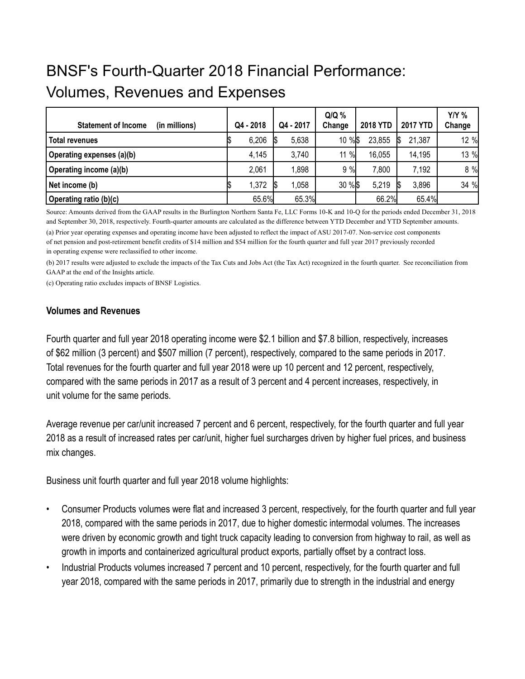# BNSF's Fourth-Quarter 2018 Financial Performance: Volumes, Revenues and Expenses

| <b>Statement of Income</b><br>(in millions) | Q4 - 2018 | Q4 - 2017 | $Q/Q$ %<br>Change | <b>2018 YTD</b> | <b>2017 YTD</b> | $Y/Y$ %<br>Change |
|---------------------------------------------|-----------|-----------|-------------------|-----------------|-----------------|-------------------|
| <b>Total revenues</b>                       | 6,206     | 5,638     | 10 % \$           | 23,855          | 21,387          | 12 %              |
| Operating expenses (a)(b)                   | 4,145     | 3,740     | 11 %              | 16,055          | 14,195          | 13 %              |
| Operating income (a)(b)                     | 2,061     | 1,898     | 9%                | 7,800           | 7,192           | 8 %               |
| Net income (b)                              | 1,372     | 058       | 30 % \$           | 5,219           | 3,896           | 34 %              |
| Operating ratio (b)(c)                      | 65.6%     | 65.3%     |                   | 66.2%           | 65.4%           |                   |

Source: Amounts derived from the GAAP results in the Burlington Northern Santa Fe, LLC Forms 10-K and 10-Q for the periods ended December 31, 2018 and September 30, 2018, respectively. Fourth-quarter amounts are calculated as the difference between YTD December and YTD September amounts.

(a) Prior year operating expenses and operating income have been adjusted to reflect the impact of ASU 2017-07. Non-service cost components of net pension and post-retirement benefit credits of \$14 million and \$54 million for the fourth quarter and full year 2017 previously recorded in operating expense were reclassified to other income.

(b) 2017 results were adjusted to exclude the impacts of the Tax Cuts and Jobs Act (the Tax Act) recognized in the fourth quarter. See reconciliation from GAAP at the end of the Insights article.

(c) Operating ratio excludes impacts of BNSF Logistics.

#### **Volumes and Revenues**

Fourth quarter and full year 2018 operating income were \$2.1 billion and \$7.8 billion, respectively, increases of \$62 million (3 percent) and \$507 million (7 percent), respectively, compared to the same periods in 2017. Total revenues for the fourth quarter and full year 2018 were up 10 percent and 12 percent, respectively, compared with the same periods in 2017 as a result of 3 percent and 4 percent increases, respectively, in unit volume for the same periods.

Average revenue per car/unit increased 7 percent and 6 percent, respectively, for the fourth quarter and full year 2018 as a result of increased rates per car/unit, higher fuel surcharges driven by higher fuel prices, and business mix changes.

Business unit fourth quarter and full year 2018 volume highlights:

- Consumer Products volumes were flat and increased 3 percent, respectively, for the fourth quarter and full year 2018, compared with the same periods in 2017, due to higher domestic intermodal volumes. The increases were driven by economic growth and tight truck capacity leading to conversion from highway to rail, as well as growth in imports and containerized agricultural product exports, partially offset by a contract loss.
- Industrial Products volumes increased 7 percent and 10 percent, respectively, for the fourth quarter and full year 2018, compared with the same periods in 2017, primarily due to strength in the industrial and energy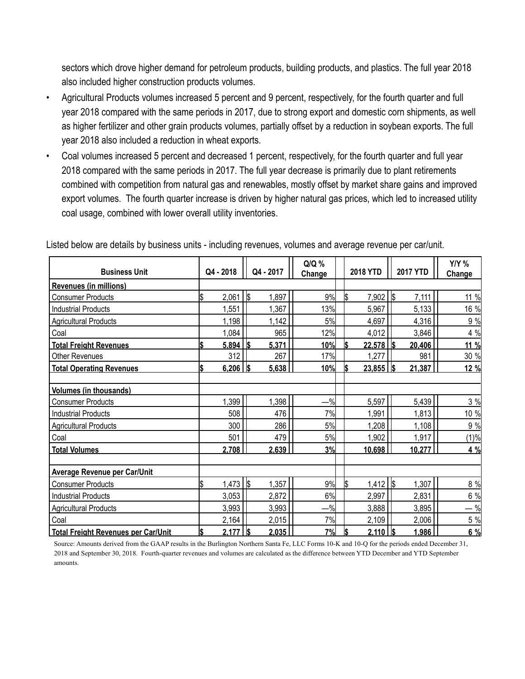sectors which drove higher demand for petroleum products, building products, and plastics. The full year 2018 also included higher construction products volumes.

- Agricultural Products volumes increased 5 percent and 9 percent, respectively, for the fourth quarter and full year 2018 compared with the same periods in 2017, due to strong export and domestic corn shipments, as well as higher fertilizer and other grain products volumes, partially offset by a reduction in soybean exports. The full year 2018 also included a reduction in wheat exports.
- Coal volumes increased 5 percent and decreased 1 percent, respectively, for the fourth quarter and full year 2018 compared with the same periods in 2017. The full year decrease is primarily due to plant retirements combined with competition from natural gas and renewables, mostly offset by market share gains and improved export volumes. The fourth quarter increase is driven by higher natural gas prices, which led to increased utility coal usage, combined with lower overall utility inventories.

| <b>Business Unit</b>                       |     | Q4 - 2018  | Q4 - 2017                 | $Q/Q$ %<br>Change | <b>2018 YTD</b>    | <b>2017 YTD</b> | <b>Y/Y %</b><br>Change |
|--------------------------------------------|-----|------------|---------------------------|-------------------|--------------------|-----------------|------------------------|
| <b>Revenues (in millions)</b>              |     |            |                           |                   |                    |                 |                        |
| <b>Consumer Products</b>                   | \$  | 2,061      | $\boldsymbol{s}$<br>1,897 | 9%                | 7,902 \$<br>l\$    | 7,111           | 11 %                   |
| <b>Industrial Products</b>                 |     | 1,551      | 1,367                     | 13%               | 5,967              | 5,133           | 16 %                   |
| <b>Agricultural Products</b>               |     | 1,198      | 1,142                     | 5%                | 4,697              | 4,316           | 9 %                    |
| Coal                                       |     | 1,084      | 965                       | 12%               | 4,012              | 3,846           | 4 %                    |
| <b>Total Freight Revenues</b>              | ß.  | 5,894      | 5,371<br>I\$              | 10%               | l\$<br>$22,578$ \$ | 20,406          | 11 %                   |
| <b>Other Revenues</b>                      |     | 312        | 267                       | 17%               | 1,277              | 981             | 30 %                   |
| <b>Total Operating Revenues</b>            | Ŝ.  | $6,206$ \$ | 5,638                     | 10%               | $23,855$ \$<br>l\$ | 21,387          | 12 %                   |
|                                            |     |            |                           |                   |                    |                 |                        |
| <b>Volumes (in thousands)</b>              |     |            |                           |                   |                    |                 |                        |
| <b>Consumer Products</b>                   |     | 1,399      | 1,398                     | $-\%$             | 5,597              | 5,439           | 3 %                    |
| <b>Industrial Products</b>                 |     | 508        | 476                       | 7%                | 1,991              | 1,813           | 10 %                   |
| <b>Agricultural Products</b>               |     | 300        | 286                       | 5%                | 1,208              | 1,108           | 9 %                    |
| Coal                                       |     | 501        | 479                       | 5%                | 1,902              | 1,917           | (1)%                   |
| <b>Total Volumes</b>                       |     | 2,708      | 2,639                     | 3%                | 10,698             | 10,277          | 4 %                    |
|                                            |     |            |                           |                   |                    |                 |                        |
| Average Revenue per Car/Unit               |     |            |                           |                   |                    |                 |                        |
| <b>Consumer Products</b>                   | \$  | $1,473$ \$ | 1,357                     | 9%                | $1,412$ \$<br>ls   | 1,307           | 8 %                    |
| <b>Industrial Products</b>                 |     | 3,053      | 2,872                     | 6%                | 2,997              | 2,831           | 6 %                    |
| <b>Agricultural Products</b>               |     | 3,993      | 3,993                     | $-$ %             | 3,888              | 3,895           | $-$ %                  |
| Coal                                       |     | 2,164      | 2,015                     | 7%                | 2,109              | 2,006           | 5 %                    |
| <b>Total Freight Revenues per Car/Unit</b> | I\$ | 2,177      | 2,035                     | 7%                | l\$<br>$2,110$ \$  | 1,986           | 6 %                    |

Listed below are details by business units - including revenues, volumes and average revenue per car/unit.

Source: Amounts derived from the GAAP results in the Burlington Northern Santa Fe, LLC Forms 10-K and 10-Q for the periods ended December 31, 2018 and September 30, 2018. Fourth-quarter revenues and volumes are calculated as the difference between YTD December and YTD September amounts.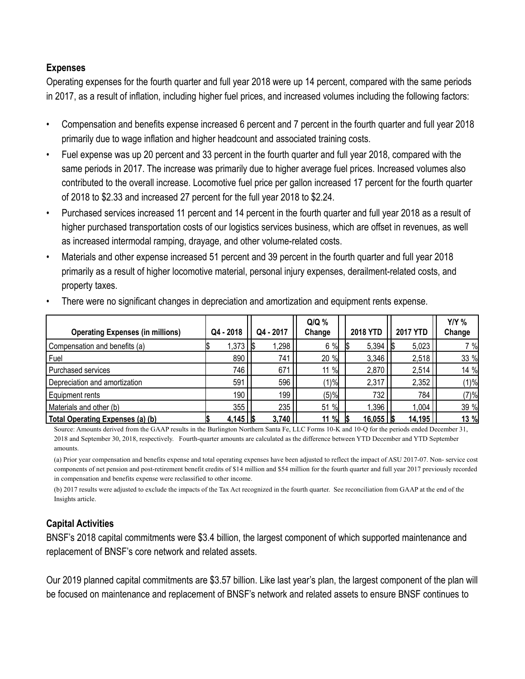### **Expenses**

Operating expenses for the fourth quarter and full year 2018 were up 14 percent, compared with the same periods in 2017, as a result of inflation, including higher fuel prices, and increased volumes including the following factors:

- Compensation and benefits expense increased 6 percent and 7 percent in the fourth quarter and full year 2018 primarily due to wage inflation and higher headcount and associated training costs.
- Fuel expense was up 20 percent and 33 percent in the fourth quarter and full year 2018, compared with the same periods in 2017. The increase was primarily due to higher average fuel prices. Increased volumes also contributed to the overall increase. Locomotive fuel price per gallon increased 17 percent for the fourth quarter of 2018 to \$2.33 and increased 27 percent for the full year 2018 to \$2.24.
- Purchased services increased 11 percent and 14 percent in the fourth quarter and full year 2018 as a result of higher purchased transportation costs of our logistics services business, which are offset in revenues, as well as increased intermodal ramping, drayage, and other volume-related costs.
- Materials and other expense increased 51 percent and 39 percent in the fourth quarter and full year 2018 primarily as a result of higher locomotive material, personal injury expenses, derailment-related costs, and property taxes.

| <b>Operating Expenses (in millions)</b> | Q4 - 2018             | Q4 - 2017 | $Q/Q$ %<br>Change | <b>2018 YTD</b>       | <b>2017 YTD</b> | $Y/Y$ %<br>Change |
|-----------------------------------------|-----------------------|-----------|-------------------|-----------------------|-----------------|-------------------|
| Compensation and benefits (a)           | $1,373$   \$          | 1,298     | 6%                | $5,394$ \$            | 5,023           | 7 %               |
| Fuel                                    | 890                   | 741       | 20 %              | 3,346                 | 2,518           | 33 %              |
| Purchased services                      | 746                   | 671       | 11 %              | 2,870                 | 2,514           | 14 %              |
| Depreciation and amortization           | 591                   | 596       | (1)%              | 2,317                 | 2,352           | (1)%              |
| Equipment rents                         | 190                   | 199       | (5)%              | 732                   | 784             | (7)%              |
| Materials and other (b)                 | 355                   | 235       | $\%$<br>51        | 1,396                 | 1,004           | 39 %              |
| Total Operating Expenses (a) (b)        | $4,145$ $\frac{1}{5}$ | 3,740     | 11 %              | $16,055$   $\sqrt{5}$ | 14,195          | 13 %              |

• There were no significant changes in depreciation and amortization and equipment rents expense.

Source: Amounts derived from the GAAP results in the Burlington Northern Santa Fe, LLC Forms 10-K and 10-Q for the periods ended December 31, 2018 and September 30, 2018, respectively. Fourth-quarter amounts are calculated as the difference between YTD December and YTD September amounts.

(a) Prior year compensation and benefits expense and total operating expenses have been adjusted to reflect the impact of ASU 2017-07. Non- service cost components of net pension and post-retirement benefit credits of \$14 million and \$54 million for the fourth quarter and full year 2017 previously recorded in compensation and benefits expense were reclassified to other income.

(b) 2017 results were adjusted to exclude the impacts of the Tax Act recognized in the fourth quarter. See reconciliation from GAAP at the end of the Insights article.

# **Capital Activities**

BNSF's 2018 capital commitments were \$3.4 billion, the largest component of which supported maintenance and replacement of BNSF's core network and related assets.

Our 2019 planned capital commitments are \$3.57 billion. Like last year's plan, the largest component of the plan will be focused on maintenance and replacement of BNSF's network and related assets to ensure BNSF continues to